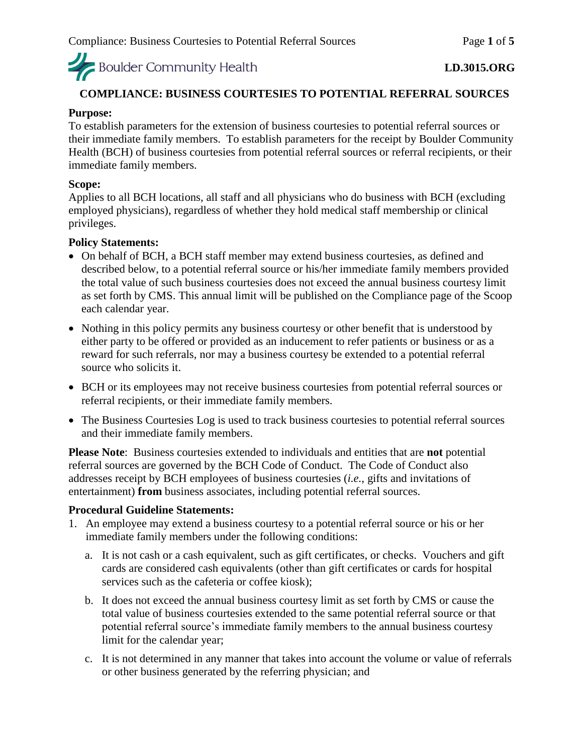Boulder Community Health

# **COMPLIANCE: BUSINESS COURTESIES TO POTENTIAL REFERRAL SOURCES**

#### **Purpose:**

To establish parameters for the extension of business courtesies to potential referral sources or their immediate family members. To establish parameters for the receipt by Boulder Community Health (BCH) of business courtesies from potential referral sources or referral recipients, or their immediate family members.

#### **Scope:**

Applies to all BCH locations, all staff and all physicians who do business with BCH (excluding employed physicians), regardless of whether they hold medical staff membership or clinical privileges.

#### **Policy Statements:**

- On behalf of BCH, a BCH staff member may extend business courtesies, as defined and described below, to a potential referral source or his/her immediate family members provided the total value of such business courtesies does not exceed the annual business courtesy limit as set forth by CMS. This annual limit will be published on the Compliance page of the Scoop each calendar year.
- Nothing in this policy permits any business courtesy or other benefit that is understood by either party to be offered or provided as an inducement to refer patients or business or as a reward for such referrals, nor may a business courtesy be extended to a potential referral source who solicits it.
- BCH or its employees may not receive business courtesies from potential referral sources or referral recipients, or their immediate family members.
- The Business Courtesies Log is used to track business courtesies to potential referral sources and their immediate family members.

**Please Note**: Business courtesies extended to individuals and entities that are **not** potential referral sources are governed by the BCH Code of Conduct. The Code of Conduct also addresses receipt by BCH employees of business courtesies (*i.e.*, gifts and invitations of entertainment) **from** business associates, including potential referral sources.

#### **Procedural Guideline Statements:**

- 1. An employee may extend a business courtesy to a potential referral source or his or her immediate family members under the following conditions:
	- a. It is not cash or a cash equivalent, such as gift certificates, or checks. Vouchers and gift cards are considered cash equivalents (other than gift certificates or cards for hospital services such as the cafeteria or coffee kiosk);
	- b. It does not exceed the annual business courtesy limit as set forth by CMS or cause the total value of business courtesies extended to the same potential referral source or that potential referral source's immediate family members to the annual business courtesy limit for the calendar year;
	- c. It is not determined in any manner that takes into account the volume or value of referrals or other business generated by the referring physician; and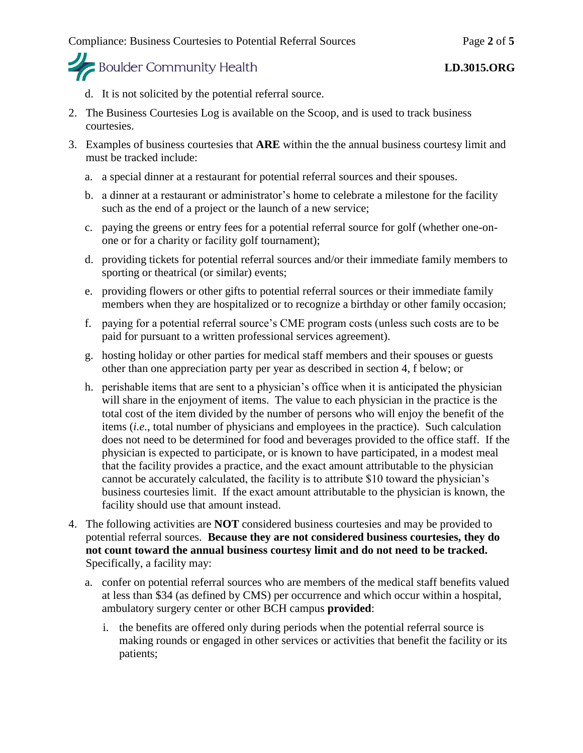

- d. It is not solicited by the potential referral source.
- 2. The Business Courtesies Log is available on the Scoop, and is used to track business courtesies.
- 3. Examples of business courtesies that **ARE** within the the annual business courtesy limit and must be tracked include:
	- a. a special dinner at a restaurant for potential referral sources and their spouses.
	- b. a dinner at a restaurant or administrator's home to celebrate a milestone for the facility such as the end of a project or the launch of a new service;
	- c. paying the greens or entry fees for a potential referral source for golf (whether one-onone or for a charity or facility golf tournament);
	- d. providing tickets for potential referral sources and/or their immediate family members to sporting or theatrical (or similar) events;
	- e. providing flowers or other gifts to potential referral sources or their immediate family members when they are hospitalized or to recognize a birthday or other family occasion;
	- f. paying for a potential referral source's CME program costs (unless such costs are to be paid for pursuant to a written professional services agreement).
	- g. hosting holiday or other parties for medical staff members and their spouses or guests other than one appreciation party per year as described in section 4, f below; or
	- h. perishable items that are sent to a physician's office when it is anticipated the physician will share in the enjoyment of items. The value to each physician in the practice is the total cost of the item divided by the number of persons who will enjoy the benefit of the items (*i.e.*, total number of physicians and employees in the practice). Such calculation does not need to be determined for food and beverages provided to the office staff. If the physician is expected to participate, or is known to have participated, in a modest meal that the facility provides a practice, and the exact amount attributable to the physician cannot be accurately calculated, the facility is to attribute \$10 toward the physician's business courtesies limit. If the exact amount attributable to the physician is known, the facility should use that amount instead.
- 4. The following activities are **NOT** considered business courtesies and may be provided to potential referral sources. **Because they are not considered business courtesies, they do not count toward the annual business courtesy limit and do not need to be tracked.**  Specifically, a facility may:
	- a. confer on potential referral sources who are members of the medical staff benefits valued at less than \$34 (as defined by CMS) per occurrence and which occur within a hospital, ambulatory surgery center or other BCH campus **provided**:
		- i. the benefits are offered only during periods when the potential referral source is making rounds or engaged in other services or activities that benefit the facility or its patients;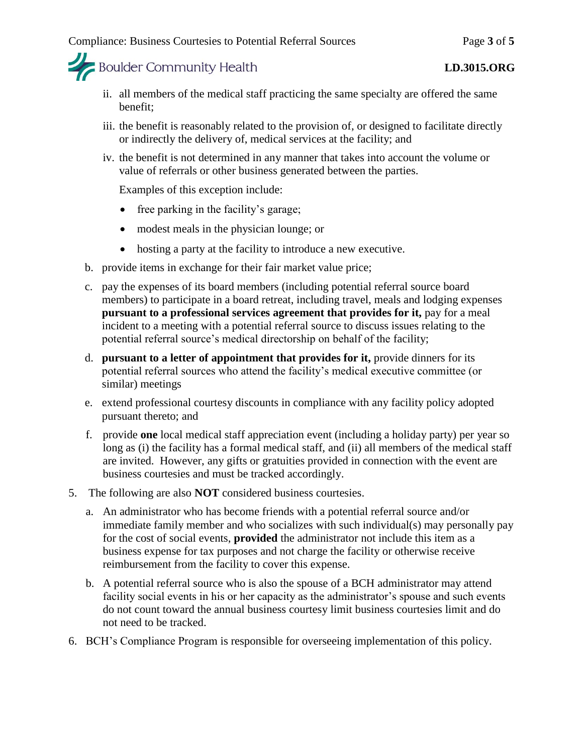

- ii. all members of the medical staff practicing the same specialty are offered the same benefit;
- iii. the benefit is reasonably related to the provision of, or designed to facilitate directly or indirectly the delivery of, medical services at the facility; and
- iv. the benefit is not determined in any manner that takes into account the volume or value of referrals or other business generated between the parties.

Examples of this exception include:

- free parking in the facility's garage;
- modest meals in the physician lounge; or
- hosting a party at the facility to introduce a new executive.
- b. provide items in exchange for their fair market value price;
- c. pay the expenses of its board members (including potential referral source board members) to participate in a board retreat, including travel, meals and lodging expenses **pursuant to a professional services agreement that provides for it, pay for a meal** incident to a meeting with a potential referral source to discuss issues relating to the potential referral source's medical directorship on behalf of the facility;
- d. **pursuant to a letter of appointment that provides for it,** provide dinners for its potential referral sources who attend the facility's medical executive committee (or similar) meetings
- e. extend professional courtesy discounts in compliance with any facility policy adopted pursuant thereto; and
- f. provide **one** local medical staff appreciation event (including a holiday party) per year so long as (i) the facility has a formal medical staff, and (ii) all members of the medical staff are invited. However, any gifts or gratuities provided in connection with the event are business courtesies and must be tracked accordingly.
- 5. The following are also **NOT** considered business courtesies.
	- a. An administrator who has become friends with a potential referral source and/or immediate family member and who socializes with such individual(s) may personally pay for the cost of social events, **provided** the administrator not include this item as a business expense for tax purposes and not charge the facility or otherwise receive reimbursement from the facility to cover this expense.
	- b. A potential referral source who is also the spouse of a BCH administrator may attend facility social events in his or her capacity as the administrator's spouse and such events do not count toward the annual business courtesy limit business courtesies limit and do not need to be tracked.
- 6. BCH's Compliance Program is responsible for overseeing implementation of this policy.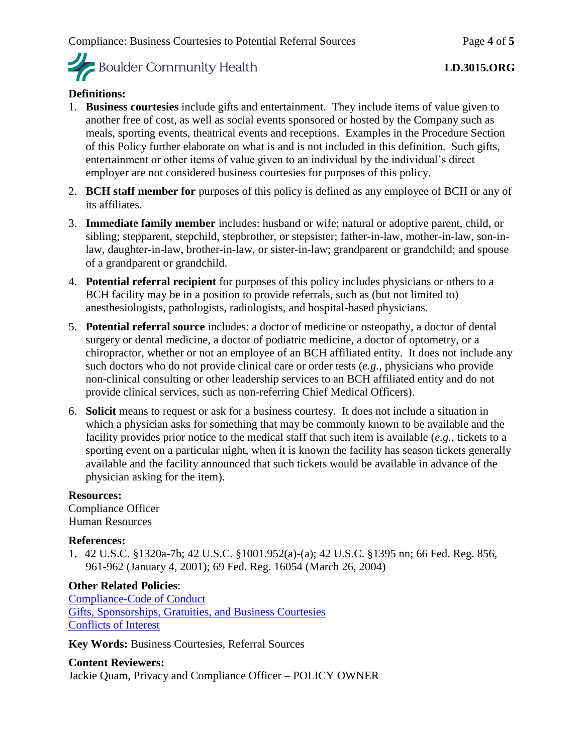

### **Definitions:**

- 1. **Business courtesies** include gifts and entertainment. They include items of value given to another free of cost, as well as social events sponsored or hosted by the Company such as meals, sporting events, theatrical events and receptions. Examples in the Procedure Section of this Policy further elaborate on what is and is not included in this definition. Such gifts, entertainment or other items of value given to an individual by the individual's direct employer are not considered business courtesies for purposes of this policy.
- 2. **BCH staff member for** purposes of this policy is defined as any employee of BCH or any of its affiliates.
- 3. **Immediate family member** includes: husband or wife; natural or adoptive parent, child, or sibling; stepparent, stepchild, stepbrother, or stepsister; father-in-law, mother-in-law, son-inlaw, daughter-in-law, brother-in-law, or sister-in-law; grandparent or grandchild; and spouse of a grandparent or grandchild.
- 4. **Potential referral recipient** for purposes of this policy includes physicians or others to a BCH facility may be in a position to provide referrals, such as (but not limited to) anesthesiologists, pathologists, radiologists, and hospital-based physicians.
- 5. **Potential referral source** includes: a doctor of medicine or osteopathy, a doctor of dental surgery or dental medicine, a doctor of podiatric medicine, a doctor of optometry, or a chiropractor, whether or not an employee of an BCH affiliated entity. It does not include any such doctors who do not provide clinical care or order tests (*e.g.*, physicians who provide non-clinical consulting or other leadership services to an BCH affiliated entity and do not provide clinical services, such as non-referring Chief Medical Officers).
- 6. **Solicit** means to request or ask for a business courtesy. It does not include a situation in which a physician asks for something that may be commonly known to be available and the facility provides prior notice to the medical staff that such item is available (*e.g.*, tickets to a sporting event on a particular night, when it is known the facility has season tickets generally available and the facility announced that such tickets would be available in advance of the physician asking for the item).

#### **Resources:**

Compliance Officer Human Resources

#### **References:**

1. 42 U.S.C. §1320a-7b; 42 U.S.C. §1001.952(a)-(a); 42 U.S.C. §1395 nn; 66 Fed. Reg. 856, 961-962 (January 4, 2001); 69 Fed. Reg. 16054 (March 26, 2004)

# **Other Related Policies**:

[Compliance-Code of Conduct](https://mybch.sharepoint.com/policies/Clinical%20Policy%20Repository/Compliance-Code%20of%20Conduct.pdf) [Gifts, Sponsorships, Gratuities, and Business Courtesies](https://mybch.sharepoint.com/policies/Clinical%20Policy%20Repository/Gifts%2C%20Sponsorships%2C%20Gratuities%20and%20Business%20Courtesies.pdf) [Conflicts of Interest](https://mybch.sharepoint.com/policies/Clinical%20Policy%20Repository/Conflicts%20of%20Interest.pdf)

**Key Words:** Business Courtesies, Referral Sources

# **Content Reviewers:**

Jackie Quam, Privacy and Compliance Officer – POLICY OWNER